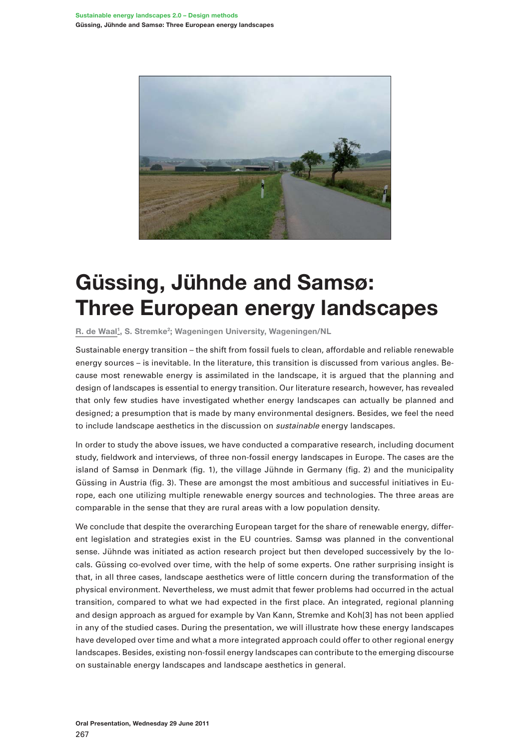

## **Güssing, Jühnde and Samsø: Three European energy landscapes**

R. de Waal<sup>1</sup>, S. Stremke<sup>2</sup>; Wageningen University, Wageningen/NL

Sustainable energy transition – the shift from fossil fuels to clean, affordable and reliable renewable energy sources – is inevitable. In the literature, this transition is discussed from various angles. Because most renewable energy is assimilated in the landscape, it is argued that the planning and design of landscapes is essential to energy transition. Our literature research, however, has revealed that only few studies have investigated whether energy landscapes can actually be planned and designed; a presumption that is made by many environmental designers. Besides, we feel the need to include landscape aesthetics in the discussion on *sustainable* energy landscapes.

In order to study the above issues, we have conducted a comparative research, including document study, fieldwork and interviews, of three non-fossil energy landscapes in Europe. The cases are the island of Samsø in Denmark (fig. 1), the village Jühnde in Germany (fig. 2) and the municipality Güssing in Austria (fig. 3). These are amongst the most ambitious and successful initiatives in Europe, each one utilizing multiple renewable energy sources and technologies. The three areas are comparable in the sense that they are rural areas with a low population density.

We conclude that despite the overarching European target for the share of renewable energy, different legislation and strategies exist in the EU countries. Samsø was planned in the conventional sense. Jühnde was initiated as action research project but then developed successively by the locals. Güssing co-evolved over time, with the help of some experts. One rather surprising insight is that, in all three cases, landscape aesthetics were of little concern during the transformation of the physical environment. Nevertheless, we must admit that fewer problems had occurred in the actual transition, compared to what we had expected in the first place. An integrated, regional planning and design approach as argued for example by Van Kann, Stremke and Koh[3] has not been applied in any of the studied cases. During the presentation, we will illustrate how these energy landscapes have developed over time and what a more integrated approach could offer to other regional energy landscapes. Besides, existing non-fossil energy landscapes can contribute to the emerging discourse on sustainable energy landscapes and landscape aesthetics in general.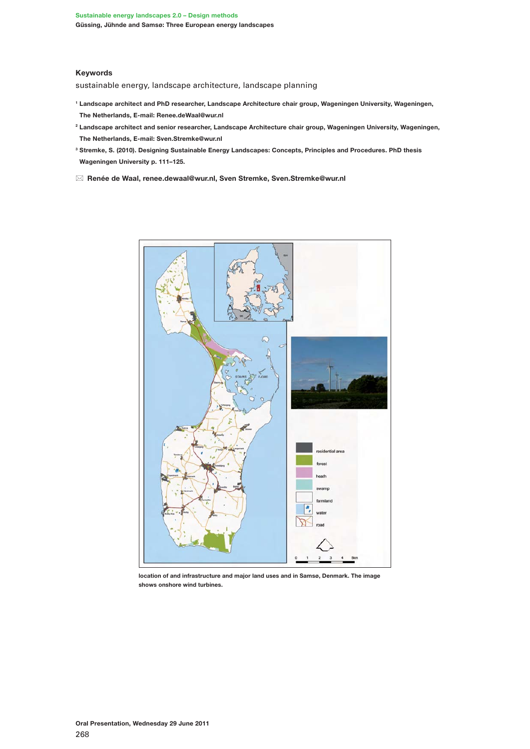## **Keywords**

sustainable energy, landscape architecture, landscape planning

- **1 Landscape architect and PhD researcher, Landscape Architecture chair group, Wageningen University, Wageningen, The Netherlands, E-mail: Renee.deWaal@wur.nl**
- **2 Landscape architect and senior researcher, Landscape Architecture chair group, Wageningen University, Wageningen, The Netherlands, E-mail: Sven.Stremke@wur.nl**
- **3 Stremke, S. (2010). Designing Sustainable Energy Landscapes: Concepts, Principles and Procedures. PhD thesis Wageningen University p. 111–125.**
- \* **Renée de Waal, renee.dewaal@wur.nl, Sven Stremke, Sven.Stremke@wur.nl**



**location of and infrastructure and major land uses and in Samsø, Denmark. The image shows onshore wind turbines.**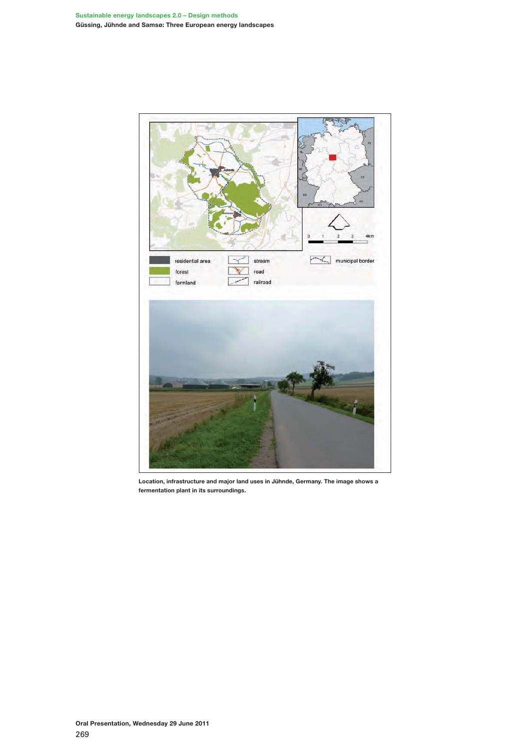

**Location, infrastructure and major land uses in Jühnde, Germany. The image shows a fermentation plant in its surroundings.**